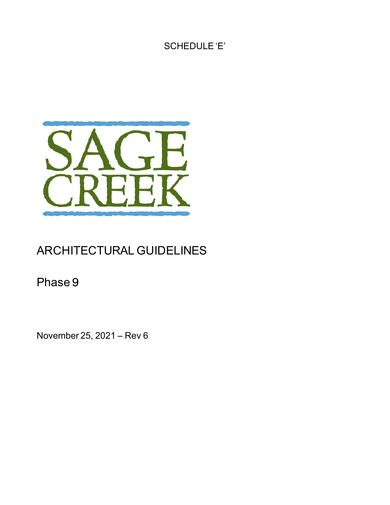SCHEDULE 'E'



# ARCHITECTURAL GUIDELINES

Phase 9

November 25, 2021 – Rev 6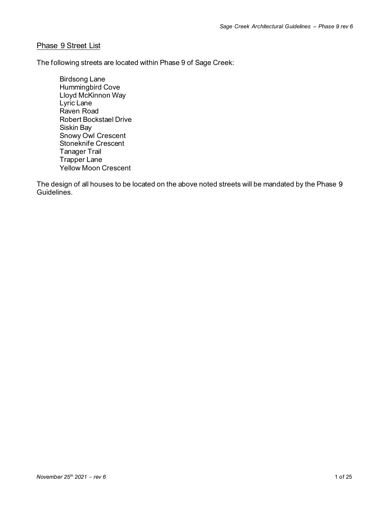# Phase 9 Street List

The following streets are located within Phase 9 of Sage Creek:

Birdsong Lane Hummingbird Cove Lloyd McKinnon Way Lyric Lane Raven Road Robert Bockstael Drive Siskin Bay Snowy Owl Crescent Stoneknife Crescent Tanager Trail Trapper Lane Yellow Moon Crescent

The design of all houses to be located on the above noted streets will be mandated by the Phase 9 Guidelines.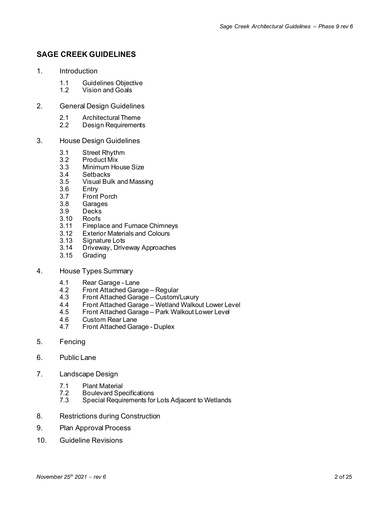# **SAGE CREEK GUIDELINES**

- 1. Introduction
	- 1.1 Guidelines Objective<br>1.2 Vision and Goals
	- Vision and Goals
- 2. General Design Guidelines
	- 2.1 Architectural Theme
	- 2.2 Design Requirements
- 3. House Design Guidelines
	-
	- 3.1 Street Rhythm<br>3.2 Product Mix 3.2 Product Mix
	- 3.3 Minimum House Size<br>3.4 Setbacks
	- 3.4 Setbacks<br>3.5 Visual Bul
	- 3.5 Visual Bulk and Massing<br>3.6 Entry
	- 3.6 Entry<br>3.7 Front
	- 3.7 Front Porch<br>3.8 Garages
	- 3.8 Garages
	- 3.9 Decks
	- 3.10 Roofs<br>3.11 Firepla
	- 3.11 Fireplace and Furnace Chimneys<br>3.12 Exterior Materials and Colours
	- 3.12 Exterior Materials and Colours<br>3.13 Signature Lots
	- 3.13 Signature Lots<br>3.14 Driveway, Drive
	- Driveway, Driveway Approaches
	- 3.15 Grading
- 4. House Types Summary
	- 4.1 Rear Garage Lane<br>4.2 Front Attached Gara
	- 4.2 Front Attached Garage Regular
	- 4.3 Front Attached Garage Custom/Luxury
	- 4.4 Front Attached Garage Wetland Walkout Lower Level
	- 4.5 Front Attached Garage Park Walkout Lower Level<br>4.6 Custom Rear Lane
	- 4.6 Custom Rear Lane<br>4.7 Front Attached Gar
	- 4.7 Front Attached Garage Duplex
- 5. Fencing
- 6. Public Lane
- 7. Landscape Design
	- 7.1 Plant Material<br>7.2 Boulevard Spe
	- 7.2 Boulevard Specifications<br>7.3 Special Requirements for
	- Special Requirements for Lots Adjacent to Wetlands
- 8. Restrictions during Construction
- 9. Plan Approval Process
- 10. Guideline Revisions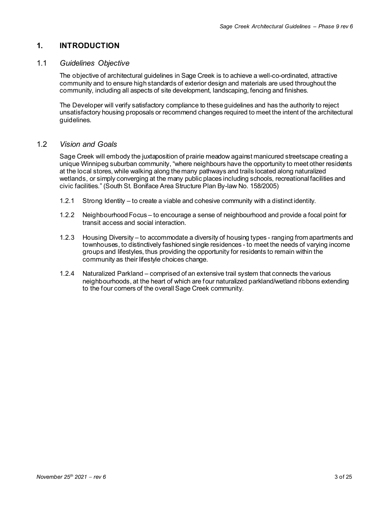# **1. INTRODUCTION**

# 1.1 *Guidelines Objective*

The objective of architectural guidelines in Sage Creek is to achieve a well-co-ordinated, attractive community and to ensure high standards of exterior design and materials are used throughout the community, including all aspects of site development, landscaping, fencing and finishes.

The Developer will verify satisfactory compliance to these guidelines and has the authority to reject unsatisfactory housing proposals or recommend changes required to meet the intent of the architectural guidelines.

# 1.2 *Vision and Goals*

Sage Creek will embody the juxtaposition of prairie meadow against manicured streetscape creating a unique Winnipeg suburban community, "where neighbours have the opportunity to meet other residents at the local stores, while walking along the many pathways and trails located along naturalized wetlands, or simply converging at the many public places including schools, recreational facilities and civic facilities." (South St. Boniface Area Structure Plan By-law No. 158/2005)

- 1.2.1 Strong Identity to create a viable and cohesive community with a distinct identity.
- 1.2.2 Neighbourhood Focus to encourage a sense of neighbourhood and provide a focal point for transit access and social interaction.
- 1.2.3 Housing Diversity to accommodate a diversity of housing types ranging from apartments and townhouses, to distinctively fashioned single residences - to meet the needs of varying income groups and lifestyles, thus providing the opportunity for residents to remain within the community as their lifestyle choices change.
- 1.2.4 Naturalized Parkland comprised of an extensive trail system that connects the various neighbourhoods, at the heart of which are four naturalized parkland/wetland ribbons extending to the four corners of the overall Sage Creek community.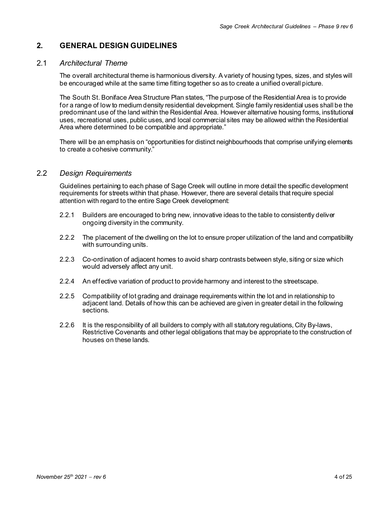# **2. GENERAL DESIGN GUIDELINES**

# 2.1 *Architectural Theme*

The overall architectural theme is harmonious diversity. A variety of housing types, sizes, and styles will be encouraged while at the same time fitting together so as to create a unified overall picture.

The South St. Boniface Area Structure Plan states, "The purpose of the Residential Area is to provide for a range of low to medium density residential development. Single family residential uses shall be the predominant use of the land within the Residential Area. However alternative housing forms, institutional uses, recreational uses, public uses, and local commercial sites may be allowed within the Residential Area where determined to be compatible and appropriate."

There will be an emphasis on "opportunities for distinct neighbourhoods that comprise unifying elements to create a cohesive community."

# 2.2 *Design Requirements*

Guidelines pertaining to each phase of Sage Creek will outline in more detail the specific development requirements for streets within that phase. However, there are several details that require special attention with regard to the entire Sage Creek development:

- 2.2.1 Builders are encouraged to bring new, innovative ideas to the table to consistently deliver ongoing diversity in the community.
- 2.2.2 The placement of the dwelling on the lot to ensure proper utilization of the land and compatibility with surrounding units.
- 2.2.3 Co-ordination of adjacent homes to avoid sharp contrasts between style, siting or size which would adversely affect any unit.
- 2.2.4 An effective variation of product to provide harmony and interest to the streetscape.
- 2.2.5 Compatibility of lot grading and drainage requirements within the lot and in relationship to adjacent land. Details of how this can be achieved are given in greater detail in the following sections.
- 2.2.6 It is the responsibility of all builders to comply with all statutory regulations, City By-laws, Restrictive Covenants and other legal obligations that may be appropriate to the construction of houses on these lands.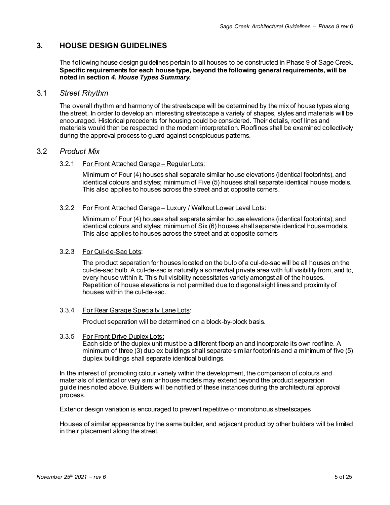# **3. HOUSE DESIGN GUIDELINES**

The following house design guidelines pertain to all houses to be constructed in Phase 9 of Sage Creek. **Specific requirements for each house type, beyond the following general requirements, will be noted in section** *4. House Types Summary***.**

# 3.1 *Street Rhythm*

The overall rhythm and harmony of the streetscape will be determined by the mix of house types along the street. In order to develop an interesting streetscape a variety of shapes, styles and materials will be encouraged. Historical precedents for housing could be considered. Their details, roof lines and materials would then be respected in the modern interpretation. Rooflines shall be examined collectively during the approval process to guard against conspicuous patterns.

# 3.2 *Product Mix*

#### 3.2.1 For Front Attached Garage – Regular Lots:

Minimum of Four (4) houses shall separate similar house elevations (identical footprints), and identical colours and styles; minimum of Five (5) houses shall separate identical house models. This also applies to houses across the street and at opposite corners.

#### 3.2.2 For Front Attached Garage – Luxury / Walkout Lower Level Lots:

Minimum of Four (4) houses shall separate similar house elevations (identical footprints), and identical colours and styles; minimum of Six (6) houses shall separate identical house models. This also applies to houses across the street and at opposite corners

#### 3.2.3 For Cul-de-Sac Lots:

The product separation for houses located on the bulb of a cul-de-sac will be all houses on the cul-de-sac bulb. A cul-de-sac is naturally a somewhat private area with full visibility from, and to, every house within it. This full visibility necessitates variety amongst all of the houses. Repetition of house elevations is not permitted due to diagonal sight lines and proximity of houses within the cul-de-sac.

#### 3.3.4 For Rear Garage Specialty Lane Lots:

Product separation will be determined on a block-by-block basis.

3.3.5 For Front Drive Duplex Lots:

Each side of the duplex unit must be a different floorplan and incorporate its own roofline. A minimum of three (3) duplex buildings shall separate similar footprints and a minimum of five (5) duplex buildings shall separate identical buildings.

In the interest of promoting colour variety within the development, the comparison of colours and materials of identical or very similar house models may extend beyond the product separation guidelines noted above. Builders will be notified of these instances during the architectural approval process.

Exterior design variation is encouraged to prevent repetitive or monotonous streetscapes.

Houses of similar appearance by the same builder, and adjacent product by other builders will be limited in their placement along the street.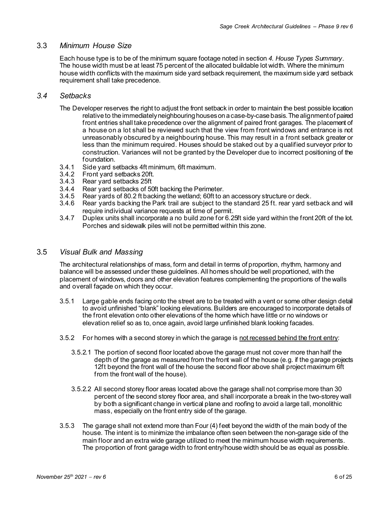# 3.3 *Minimum House Size*

Each house type is to be of the minimum square footage noted in section *4. House Types Summary*. The house width must be at least 75 percent of the allocated buildable lot width. Where the minimum house width conflicts with the maximum side yard setback requirement, the maximum side yard setback requirement shall take precedence.

# *3.4 Setbacks*

- The Developer reserves the right to adjust the front setback in order to maintain the best possible location relative to the immediately neighbouring houses on a case-by-case basis. The alignment of paired front entries shall take precedence over the alignment of paired front garages. The placement of a house on a lot shall be reviewed such that the view from front windows and entrance is not unreasonably obscured by a neighbouring house. This may result in a front setback greater or less than the minimum required. Houses should be staked out by a qualified surveyor prior to construction. Variances will not be granted by the Developer due to incorrect positioning of the foundation.
- 3.4.1 Side yard setbacks 4ft minimum, 6ft maximum.
- 3.4.2 Front yard setbacks 20ft.
- 3.4.3 Rear yard setbacks 25ft
- 3.4.4 Rear yard setbacks of 50ft backing the Perimeter.<br>3.4.5 Rear vards of 80.2 ft backing the wetland: 60ft to a
- 3.4.5 Rear yards of 80.2 ft backing the wetland; 60ft to an accessory structure or deck.
- Rear yards backing the Park trail are subject to the standard 25 ft. rear yard setback and will require individual variance requests at time of permit.
- 3.4.7 Duplex units shall incorporate a no build zone for 6.25ft side yard within the front 20ft of the lot. Porches and sidewalk piles will not be permitted within this zone.

# 3.5 *Visual Bulk and Massing*

The architectural relationships of mass, form and detail in terms of proportion, rhythm, harmony and balance will be assessed under these guidelines. All homes should be well proportioned, with the placement of windows, doors and other elevation features complementing the proportions of the walls and overall façade on which they occur.

- 3.5.1 Large gable ends facing onto the street are to be treated with a vent or some other design detail to avoid unfinished "blank" looking elevations. Builders are encouraged to incorporate details of the front elevation onto other elevations of the home which have little or no windows or elevation relief so as to, once again, avoid large unfinished blank looking facades.
- 3.5.2 For homes with a second storey in which the garage is not recessed behind the front entry:
	- 3.5.2.1 The portion of second floor located above the garage must not cover more than half the depth of the garage as measured from the front wall of the house (e.g. if the garage projects 12ft beyond the front wall of the house the second floor above shall project maximum 6ft from the front wall of the house).
	- 3.5.2.2 All second storey floor areas located above the garage shall not comprise more than 30 percent of the second storey floor area, and shall incorporate a break in the two-storey wall by both a significant change in vertical plane and roofing to avoid a large tall, monolithic mass, especially on the front entry side of the garage.
- 3.5.3 The garage shall not extend more than Four (4) feet beyond the width of the main body of the house. The intent is to minimize the imbalance often seen between the non-garage side of the main floor and an extra wide garage utilized to meet the minimum house width requirements. The proportion of front garage width to front entry/house width should be as equal as possible.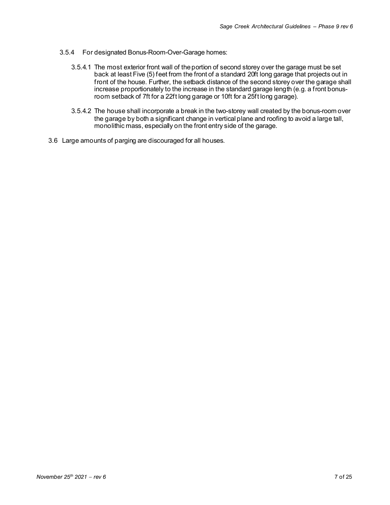- 3.5.4 For designated Bonus-Room-Over-Garage homes:
	- 3.5.4.1 The most exterior front wall of the portion of second storey over the garage must be set back at least Five (5) feet from the front of a standard 20ft long garage that projects out in front of the house. Further, the setback distance of the second storey over the garage shall increase proportionately to the increase in the standard garage length (e.g. a front bonusroom setback of 7ft for a 22ft long garage or 10ft for a 25ft long garage).
	- 3.5.4.2 The house shall incorporate a break in the two-storey wall created by the bonus-room over the garage by both a significant change in vertical plane and roofing to avoid a large tall, monolithic mass, especially on the front entry side of the garage.
- 3.6 Large amounts of parging are discouraged for all houses.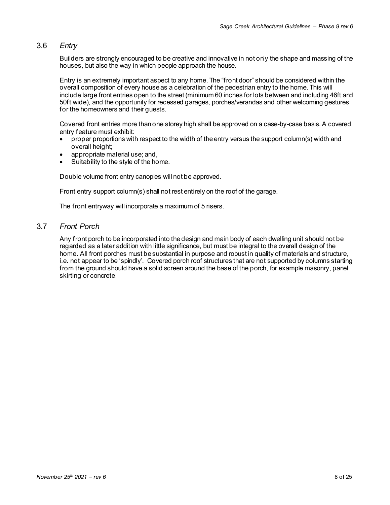# 3.6 *Entry*

Builders are strongly encouraged to be creative and innovative in not only the shape and massing of the houses, but also the way in which people approach the house.

Entry is an extremely important aspect to any home. The "front door" should be considered within the overall composition of every house as a celebration of the pedestrian entry to the home. This will include large front entries open to the street (minimum 60 inches for lots between and including 46ft and 50ft wide), and the opportunity for recessed garages, porches/verandas and other welcoming gestures for the homeowners and their guests.

Covered front entries more than one storey high shall be approved on a case-by-case basis. A covered entry feature must exhibit:

- proper proportions with respect to the width of the entry versus the support column(s) width and overall height;
- appropriate material use; and,
- Suitability to the style of the home.

Double volume front entry canopies will not be approved.

Front entry support column(s) shall not rest entirely on the roof of the garage.

The front entryway will incorporate a maximum of 5 risers.

# 3.7 *Front Porch*

Any front porch to be incorporated into the design and main body of each dwelling unit should not be regarded as a later addition with little significance, but must be integral to the overall design of the home. All front porches must be substantial in purpose and robust in quality of materials and structure, i.e. not appear to be 'spindly'. Covered porch roof structures that are not supported by columns starting from the ground should have a solid screen around the base of the porch, for example masonry, panel skirting or concrete.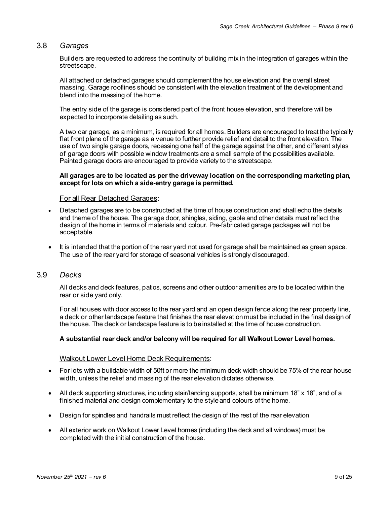# 3.8 *Garages*

Builders are requested to address the continuity of building mix in the integration of garages within the streetscape.

All attached or detached garages should complement the house elevation and the overall street massing. Garage rooflines should be consistent with the elevation treatment of the development and blend into the massing of the home.

The entry side of the garage is considered part of the front house elevation, and therefore will be expected to incorporate detailing as such.

A two car garage, as a minimum, is required for all homes. Builders are encouraged to treat the typically flat front plane of the garage as a venue to further provide relief and detail to the front elevation. The use of two single garage doors, recessing one half of the garage against the other, and different styles of garage doors with possible window treatments are a small sample of the possibilities available. Painted garage doors are encouraged to provide variety to the streetscape.

#### **All garages are to be located as per the driveway location on the corresponding marketing plan, except for lots on which a side-entry garage is permitted.**

#### For all Rear Detached Garages:

- Detached garages are to be constructed at the time of house construction and shall echo the details and theme of the house. The garage door, shingles, siding, gable and other details must reflect the design of the home in terms of materials and colour. Pre-fabricated garage packages will not be acceptable.
- It is intended that the portion of the rear yard not used for garage shall be maintained as green space. The use of the rear yard for storage of seasonal vehicles is strongly discouraged.

# 3.9 *Decks*

All decks and deck features, patios, screens and other outdoor amenities are to be located within the rear or side yard only.

For all houses with door access to the rear yard and an open design fence along the rear property line, a deck or other landscape feature that finishes the rear elevation must be included in the final design of the house. The deck or landscape feature is to be installed at the time of house construction.

#### **A substantial rear deck and/or balcony will be required for all Walkout Lower Level homes.**

#### Walkout Lower Level Home Deck Requirements:

- For lots with a buildable width of 50ft or more the minimum deck width should be 75% of the rear house width, unless the relief and massing of the rear elevation dictates otherwise.
- All deck supporting structures, including stair/landing supports, shall be minimum 18" x 18", and of a finished material and design complementary to the style and colours of the home.
- Design for spindles and handrails must reflect the design of the rest of the rear elevation.
- All exterior work on Walkout Lower Level homes (including the deck and all windows) must be completed with the initial construction of the house.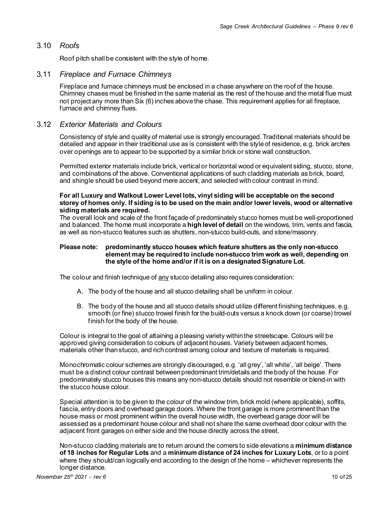# 3.10 *Roofs*

Roof pitch shall be consistent with the style of home.

#### 3.11 *Fireplace and Furnace Chimneys*

Fireplace and furnace chimneys must be enclosed in a chase anywhere on the roof of the house. Chimney chases must be finished in the same material as the rest of the house and the metal flue must not project any more than Six (6) inches above the chase. This requirement applies for all fireplace, furnace and chimney flues.

# 3.12 *Exterior Materials and Colours*

Consistency of style and quality of material use is strongly encouraged. Traditional materials should be detailed and appear in their traditional use as is consistent with the style of residence, e.g. brick arches over openings are to appear to be supported by a similar brick or stone wall construction.

Permitted exterior materials include brick, vertical or horizontal wood or equivalent siding, stucco, stone, and combinations of the above. Conventional applications of such cladding materials as brick, board, and shingle should be used beyond mere accent, and selected with colour contrast in mind.

#### **For all Luxury and Walkout Lower Level lots, vinyl siding will be acceptable on the second storey of homes only. If siding is to be used on the main and/or lower levels, wood or alternative siding materials are required.**

The overall look and scale of the front façade of predominately stucco homes must be well-proportioned and balanced. The home must incorporate a **high level of detail** on the windows, trim, vents and fascia, as well as non-stucco features such as shutters, non-stucco build-outs, and stone/masonry.

#### **Please note: predominantly stucco houses which feature shutters as the only non-stucco element may be required to include non-stucco trim work as well, depending on the style of the home and/or if it is on a designated Signature Lot.**

The colour and finish technique of any stucco detailing also requires consideration:

- A. The body of the house and all stucco detailing shall be uniform in colour.
- B. The body of the house and all stucco details should utilize different finishing techniques, e.g. smooth (or fine) stucco trowel finish for the build-outs versus a knock down (or coarse) trowel finish for the body of the house.

Colour is integral to the goal of attaining a pleasing variety within the streetscape. Colours will be approved giving consideration to colours of adjacent houses. Variety between adjacent homes, materials other than stucco, and rich contrast among colour and texture of materials is required.

Monochromatic colour schemes are strongly discouraged, e.g. 'all grey', 'all white', 'all beige'. There must be a distinct colour contrast between predominant trim/details and the body of the house. For predominately stucco houses this means any non-stucco details should not resemble or blend-in with the stucco house colour.

Special attention is to be given to the colour of the window trim, brick mold (where applicable), soffits, fascia, entry doors and overhead garage doors. Where the front garage is more prominent than the house mass or most prominent within the overall house width, the overhead garage door will be assessed as a predominant house colour and shall not share the same overhead door colour with the adjacent front garages on either side and the house directly across the street.

Non-stucco cladding materials are to return around the corners to side elevations a **minimum distance of 18 inches for Regular Lots** and a **minimum distance of 24 inches for Luxury Lots**, or to a point where they should/can logically end according to the design of the home – whichever represents the longer distance.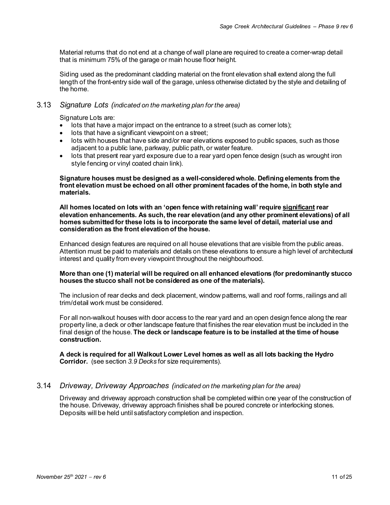Material returns that do not end at a change of wall plane are required to create a corner-wrap detail that is minimum 75% of the garage or main house floor height.

Siding used as the predominant cladding material on the front elevation shall extend along the full length of the front-entry side wall of the garage, unless otherwise dictated by the style and detailing of the home.

# 3.13 *Signature Lots (indicated on the marketing plan for the area)*

Signature Lots are:

- lots that have a major impact on the entrance to a street (such as corner lots);
- lots that have a significant viewpoint on a street;
- lots with houses that have side and/or rear elevations exposed to public spaces, such as those adjacent to a public lane, parkway, public path, or water feature.
- lots that present rear yard exposure due to a rear yard open fence design (such as wrought iron style fencing or vinyl coated chain link).

#### **Signature houses must be designed as a well-considered whole. Defining elements from the front elevation must be echoed on all other prominent facades of the home, in both style and materials.**

**All homes located on lots with an 'open fence with retaining wall' require significant rear elevation enhancements. As such, the rear elevation (and any other prominent elevations) of all homes submitted for these lots is to incorporate the same level of detail, material use and consideration as the front elevation of the house.**

Enhanced design features are required on all house elevations that are visible from the public areas. Attention must be paid to materials and details on these elevations to ensure a high level of architectural interest and quality from every viewpoint throughout the neighbourhood.

#### **More than one (1) material will be required on all enhanced elevations (for predominantly stucco houses the stucco shall not be considered as one of the materials).**

The inclusion of rear decks and deck placement, window patterns, wall and roof forms, railings and all trim/detail work must be considered.

For all non-walkout houses with door access to the rear yard and an open design fence along the rear property line, a deck or other landscape feature that finishes the rear elevation must be included in the final design of the house. **The deck or landscape feature is to be installed at the time of house construction.**

**A deck is required for all Walkout Lower Level homes as well as all lots backing the Hydro Corridor.** (see section *3.9 Decks* for size requirements).

### 3.14 *Driveway, Driveway Approaches (indicated on the marketing plan for the area)*

Driveway and driveway approach construction shall be completed within one year of the construction of the house. Driveway, driveway approach finishes shall be poured concrete or interlocking stones. Deposits will be held until satisfactory completion and inspection.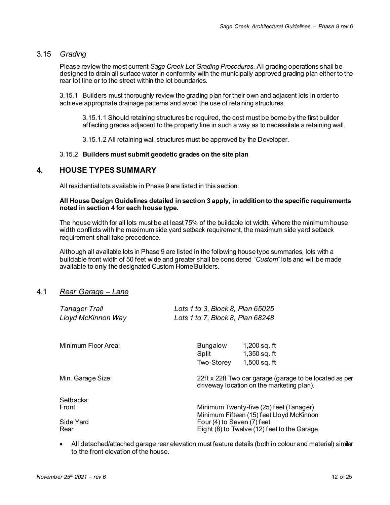# 3.15 *Grading*

Please review the most current *Sage Creek Lot Grading Procedures*. All grading operations shall be designed to drain all surface water in conformity with the municipally approved grading plan either to the rear lot line or to the street within the lot boundaries.

3.15.1 Builders must thoroughly review the grading plan for their own and adjacent lots in order to achieve appropriate drainage patterns and avoid the use of retaining structures.

3.15.1.1 Should retaining structures be required, the cost must be borne by the first builder affecting grades adjacent to the property line in such a way as to necessitate a retaining wall.

3.15.1.2 All retaining wall structures must be approved by the Developer.

#### 3.15.2 **Builders must submit geodetic grades on the site plan**

# **4. HOUSE TYPES SUMMARY**

All residential lots available in Phase 9 are listed in this section.

#### **All House Design Guidelines detailed in section 3 apply, in addition to the specific requirements noted in section 4 for each house type.**

The house width for all lots must be at least 75% of the buildable lot width. Where the minimum house width conflicts with the maximum side yard setback requirement, the maximum side yard setback requirement shall take precedence.

Although all available lots in Phase 9 are listed in the following house type summaries, lots with a buildable front width of 50 feet wide and greater shall be considered "*Custom*" lots and will be made available to only the designated Custom Home Builders.

# 4.1 *Rear Garage – Lane*

| Tanager Trail       | Lots 1 to 3, Block 8, Plan 65025                                                                     |
|---------------------|------------------------------------------------------------------------------------------------------|
| Lloyd McKinnon Way  | Lots 1 to 7, Block 8, Plan 68248                                                                     |
| Minimum Floor Area: | <b>Bungalow</b><br>$1,200$ sq. ft<br>$1,350$ sq. ft<br>Split<br>$1,500$ sq. ft<br>Two-Storey         |
| Min. Garage Size:   | 22ft x 22ft Two car garage (garage to be located as per<br>driveway location on the marketing plan). |
| Setbacks:           | Minimum Twenty-five (25) feet (Tanager)                                                              |
| Front               | Minimum Fifteen (15) feet Lloyd McKinnon                                                             |
| Side Yard           | Four (4) to Seven (7) feet                                                                           |
| Rear                | Eight (8) to Twelve (12) feet to the Garage.                                                         |

• All detached/attached garage rear elevation must feature details (both in colour and material) similar to the front elevation of the house.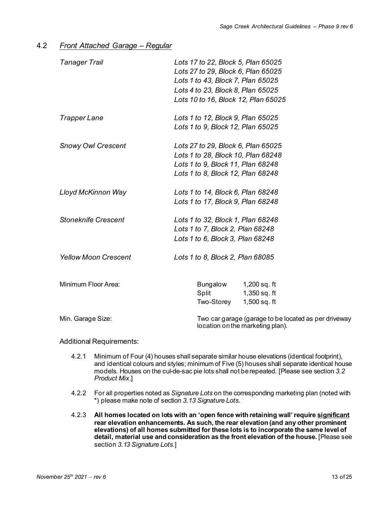# 4.2 *Front Attached Garage – Regular*

| <b>Tanager Trail</b>        | Lots 17 to 22, Block 5, Plan 65025<br>Lots 27 to 29, Block 6, Plan 65025<br>Lots 1 to 43, Block 7, Plan 65025<br>Lots 4 to 23, Block 8, Plan 65025<br>Lots 10 to 16, Block 12, Plan 65025 |
|-----------------------------|-------------------------------------------------------------------------------------------------------------------------------------------------------------------------------------------|
| <b>Trapper Lane</b>         | Lots 1 to 12, Block 9, Plan 65025                                                                                                                                                         |
|                             | Lots 1 to 9, Block 12, Plan 65025                                                                                                                                                         |
| <b>Snowy Owl Crescent</b>   | Lots 27 to 29, Block 6, Plan 65025                                                                                                                                                        |
|                             | Lots 1 to 28, Block 10, Plan 68248                                                                                                                                                        |
|                             | Lots 1 to 9, Block 11, Plan 68248                                                                                                                                                         |
|                             | Lots 1 to 8, Block 12, Plan 68248                                                                                                                                                         |
| Lloyd McKinnon Way          | Lots 1 to 14, Block 6, Plan 68248                                                                                                                                                         |
|                             | Lots 1 to 17, Block 9, Plan 68248                                                                                                                                                         |
| <b>Stoneknife Crescent</b>  | Lots 1 to 32, Block 1, Plan 68248                                                                                                                                                         |
|                             | Lots 1 to 7, Block 2, Plan 68248                                                                                                                                                          |
|                             | Lots 1 to 6, Block 3, Plan 68248                                                                                                                                                          |
| <b>Yellow Moon Crescent</b> | Lots 1 to 8, Block 2, Plan 68085                                                                                                                                                          |
| Minimum Floor Area:         | Bungalow<br>1,200 sq. ft                                                                                                                                                                  |
|                             | 1,350 sq. ft<br>Split                                                                                                                                                                     |
|                             | Two-Storey 1,500 sq. ft                                                                                                                                                                   |
| Min. Garage Size:           | Two car garage (garage to be located as per driveway<br>location on the marketing plan).                                                                                                  |

- 4.2.1 Minimum of Four (4) houses shall separate similar house elevations (identical footprint), and identical colours and styles; minimum of Five (5) houses shall separate identical house models. Houses on the cul-de-sac pie lots shall not be repeated. [Please see section *3.2 Product Mix*.]
- 4.2.2 For all properties noted as *Signature Lots* on the corresponding marketing plan (noted with \*) please make note of section *3.13 Signature Lots*.
- 4.2.3 **All homes located on lots with an 'open fence with retaining wall' require significant rear elevation enhancements. As such, the rear elevation (and any other prominent elevations) of all homes submitted for these lots is to incorporate the same level of detail, material use and consideration as the front elevation of the house.** [Please see section *3.13 Signature Lots*.]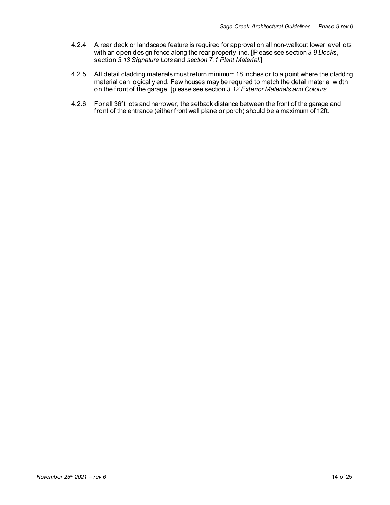- 4.2.4 A rear deck or landscape feature is required for approval on all non-walkout lower level lots with an open design fence along the rear property line. [Please see section *3.9 Decks*, section *3.13 Signature Lots* and *section 7.1 Plant Material*.]
- 4.2.5 All detail cladding materials must return minimum 18 inches or to a point where the cladding material can logically end. Few houses may be required to match the detail material width on the front of the garage. [please see section *3.12 Exterior Materials and Colours*
- 4.2.6 For all 36ft lots and narrower, the setback distance between the front of the garage and front of the entrance (either front wall plane or porch) should be a maximum of 12ft.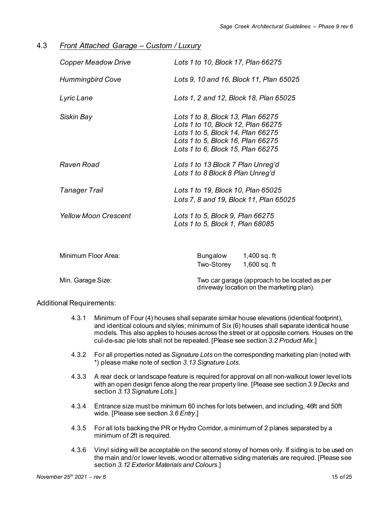| Front Attached Garage - Custom / Luxury<br>4.3 |  |
|------------------------------------------------|--|
|------------------------------------------------|--|

| <b>Copper Meadow Drive</b>  | Lots 1 to 10, Block 17, Plan 66275                                                                                                                                                     |
|-----------------------------|----------------------------------------------------------------------------------------------------------------------------------------------------------------------------------------|
| <b>Hummingbird Cove</b>     | Lots 9, 10 and 16, Block 11, Plan 65025                                                                                                                                                |
| Lyric Lane                  | Lots 1, 2 and 12, Block 18, Plan 65025                                                                                                                                                 |
| Siskin Bay                  | Lots 1 to 8, Block 13, Plan 66275<br>Lots 1 to 10, Block 12, Plan 66275<br>Lots 1 to 5, Block 14, Plan 66275<br>Lots 1 to 5, Block 16, Plan 66275<br>Lots 1 to 6, Block 15, Plan 66275 |
| Raven Road                  | Lots 1 to 13 Block 7 Plan Unreg'd<br>Lots 1 to 8 Block 8 Plan Unreg'd                                                                                                                  |
| <b>Tanager Trail</b>        | Lots 1 to 19, Block 10, Plan 65025<br>Lots 7, 8 and 19, Block 11, Plan 65025                                                                                                           |
| <b>Yellow Moon Crescent</b> | Lots 1 to 5, Block 9, Plan 66275<br>Lots 1 to 5, Block 1, Plan 68085                                                                                                                   |
| Minimum Floor Area:         | Bungalow<br>1,400 sq. ft<br>Two-Storey<br>$1,600$ sq. ft                                                                                                                               |
| Min. Garage Size:           | Two car garage (approach to be located as per<br>driveway location on the marketing plan).                                                                                             |

- 4.3.1 Minimum of Four (4) houses shall separate similar house elevations (identical footprint), and identical colours and styles; minimum of Six (6) houses shall separate identical house models. This also applies to houses across the street or at opposite corners. Houses on the cul-de-sac pie lots shall not be repeated. [Please see section *3.2 Product Mix*.]
- 4.3.2 For all properties noted as *Signature Lots* on the corresponding marketing plan (noted with \*) please make note of section *3.13 Signature Lots*.
- 4.3.3 A rear deck or landscape feature is required for approval on all non-walkout lower level lots with an open design fence along the rear property line. [Please see section *3.9 Decks* and section *3.13 Signature Lots*.]
- 4.3.4 Entrance size must be minimum 60 inches for lots between, and including, 46ft and 50ft wide. [Please see section *3.6 Entry*.]
- 4.3.5 For all lots backing the PR or Hydro Corridor, a minimum of 2 planes separated by a minimum of 2ft is required.
- 4.3.6 Vinyl siding will be acceptable on the second storey of homes only. If siding is to be used on the main and/or lower levels, wood or alternative siding materials are required. [Please see section *3.12 Exterior Materials and Colours.*]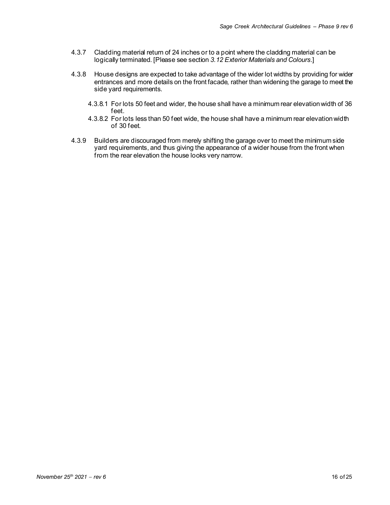- 4.3.7 Cladding material return of 24 inches or to a point where the cladding material can be logically terminated. [Please see section *3.12 Exterior Materials and Colours.*]
- 4.3.8 House designs are expected to take advantage of the wider lot widths by providing for wider entrances and more details on the front facade, rather than widening the garage to meet the side yard requirements.
	- 4.3.8.1 For lots 50 feet and wider, the house shall have a minimum rear elevation width of 36 feet.
	- 4.3.8.2 For lots less than 50 feet wide, the house shall have a minimum rear elevation width of 30 feet.
- 4.3.9 Builders are discouraged from merely shifting the garage over to meet the minimum side yard requirements, and thus giving the appearance of a wider house from the front when from the rear elevation the house looks very narrow.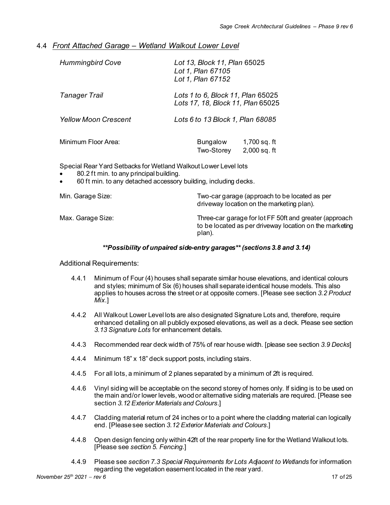# 4.4 *Front Attached Garage – Wetland Walkout Lower Level*

| <b>Hummingbird Cove</b>     | Lot 13, Block 11, Plan 65025<br>Lot 1, Plan 67105<br>Lot 1, Plan 67152 |                                |
|-----------------------------|------------------------------------------------------------------------|--------------------------------|
| Tanager Trail               | Lots 1 to 6, Block 11, Plan 65025<br>Lots 17, 18, Block 11, Plan 65025 |                                |
| <b>Yellow Moon Crescent</b> | Lots 6 to 13 Block 1, Plan 68085                                       |                                |
| Minimum Floor Area:         | Bungalow<br>Two-Storey                                                 | 1,700 sq. ft<br>$2,000$ sq. ft |
|                             |                                                                        |                                |

Special Rear Yard Setbacks for Wetland Walkout Lower Level lots

- 80.2 ft min. to any principal building.
- 60 ft min. to any detached accessory building, including decks.

| Min. Garage Size: | Two-car garage (approach to be located as per<br>driveway location on the marketing plan).                                  |
|-------------------|-----------------------------------------------------------------------------------------------------------------------------|
| Max. Garage Size: | Three-car garage for lot FF 50ft and greater (approach<br>to be located as per driveway location on the marketing<br>plan). |

#### *\*\*Possibility of unpaired side-entry garages\*\* (sections 3.8 and 3.14)*

- 4.4.1 Minimum of Four (4) houses shall separate similar house elevations, and identical colours and styles; minimum of Six (6) houses shall separate identical house models. This also applies to houses across the street or at opposite corners. [Please see section *3.2 Product Mix*.]
- 4.4.2 All Walkout Lower Level lots are also designated Signature Lots and, therefore, require enhanced detailing on all publicly exposed elevations, as well as a deck. Please see section *3.13 Signature Lots* for enhancement details.
- 4.4.3 Recommended rear deck width of 75% of rear house width. [please see section *3.9 Decks*]
- 4.4.4 Minimum 18" x 18" deck support posts, including stairs.
- 4.4.5 For all lots, a minimum of 2 planes separated by a minimum of 2ft is required.
- 4.4.6 Vinyl siding will be acceptable on the second storey of homes only. If siding is to be used on the main and/or lower levels, wood or alternative siding materials are required. [Please see section *3.12 Exterior Materials and Colours*.]
- 4.4.7 Cladding material return of 24 inches or to a point where the cladding material can logically end. [Pleasesee section *3.12 Exterior Materials and Colours.*]
- 4.4.8 Open design fencing only within 42ft of the rear property line for the Wetland Walkout lots. [Please see *section 5. Fencing*.]
- 4.4.9 Please see *section 7.3 Special Requirements for Lots Adjacent to Wetlands* for information regarding the vegetation easement located in the rear yard.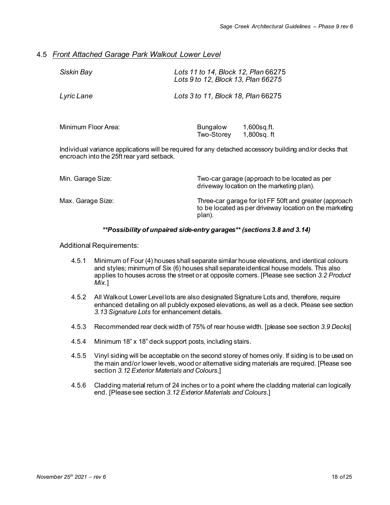# 4.5 *Front Attached Garage Park Walkout Lower Level*

| Siskin Bay          | Lots 11 to 14, Block 12, Plan 66275<br>Lots 9 to 12, Block 13, Plan 66275 |
|---------------------|---------------------------------------------------------------------------|
| Lyric Lane          | Lots 3 to 11, Block 18, Plan 66275                                        |
| Minimum Floor Area: | <b>Bungalow</b><br>$1,600$ sq.ft.                                         |

Individual variance applications will be required for any detached accessory building and/or decks that encroach into the 25ft rear yard setback.

Two-Storey 1,800sq. ft

| Min. Garage Size: | Two-car garage (approach to be located as per<br>driveway location on the marketing plan).                                  |
|-------------------|-----------------------------------------------------------------------------------------------------------------------------|
| Max. Garage Size: | Three-car garage for lot FF 50ft and greater (approach<br>to be located as per driveway location on the marketing<br>plan). |

### *\*\*Possibility of unpaired side-entry garages\*\* (sections 3.8 and 3.14)*

- 4.5.1 Minimum of Four (4) houses shall separate similar house elevations, and identical colours and styles; minimum of Six (6) houses shall separate identical house models. This also applies to houses across the street or at opposite corners. [Please see section *3.2 Product Mix*.]
- 4.5.2 All Walkout Lower Level lots are also designated Signature Lots and, therefore, require enhanced detailing on all publicly exposed elevations, as well as a deck. Please see section *3.13 Signature Lots* for enhancement details.
- 4.5.3 Recommended rear deck width of 75% of rear house width. [please see section *3.9 Decks*]
- 4.5.4 Minimum 18" x 18" deck support posts, including stairs.
- 4.5.5 Vinyl siding will be acceptable on the second storey of homes only. If siding is to be used on the main and/or lower levels, wood or alternative siding materials are required. [Please see section *3.12 Exterior Materials and Colours*.]
- 4.5.6 Cladding material return of 24 inches or to a point where the cladding material can logically end. [Please see section *3.12 Exterior Materials and Colours.*]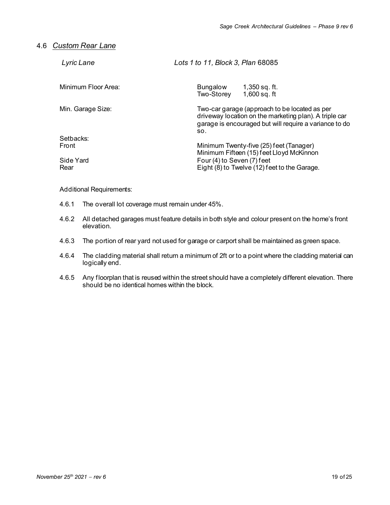# 4.6 *Custom Rear Lane*

| Lyric Lane          | Lots 1 to 11, Block 3, Plan 68085                                                                                                                                        |
|---------------------|--------------------------------------------------------------------------------------------------------------------------------------------------------------------------|
| Minimum Floor Area: | Bungalow<br>1,350 sq. ft.<br>$1,600$ sq. ft<br>Two-Storey                                                                                                                |
| Min. Garage Size:   | Two-car garage (approach to be located as per<br>driveway location on the marketing plan). A triple car<br>garage is encouraged but will require a variance to do<br>SO. |
| Setbacks:           |                                                                                                                                                                          |
| Front               | Minimum Twenty-five (25) feet (Tanager)<br>Minimum Fifteen (15) feet Lloyd McKinnon                                                                                      |
| Side Yard<br>Rear   | Four (4) to Seven (7) feet<br>Eight (8) to Twelve (12) feet to the Garage.                                                                                               |

- 4.6.1 The overall lot coverage must remain under 45%.
- 4.6.2 All detached garages must feature details in both style and colour present on the home's front elevation.
- 4.6.3 The portion of rear yard not used for garage or carport shall be maintained as green space.
- 4.6.4 The cladding material shall return a minimum of 2ft or to a point where the cladding material can logically end.
- 4.6.5 Any floorplan that is reused within the street should have a completely different elevation. There should be no identical homes within the block.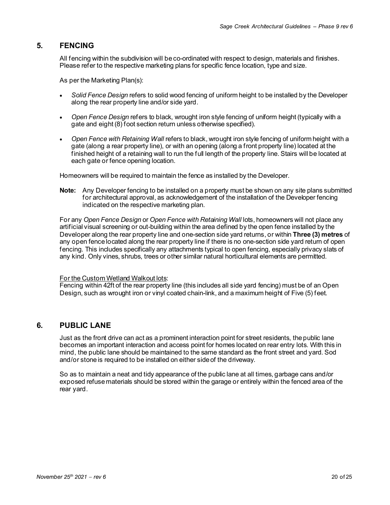# **5. FENCING**

All fencing within the subdivision will be co-ordinated with respect to design, materials and finishes. Please refer to the respective marketing plans for specific fence location, type and size.

As per the Marketing Plan(s):

- *Solid Fence Design* refers to solid wood fencing of uniform height to be installed by the Developer along the rear property line and/or side yard.
- *Open Fence Design* refers to black, wrought iron style fencing of uniform height (typically with a gate and eight (8) foot section return unless otherwise specified).
- *Open Fence with Retaining Wall* refers to black, wrought iron style fencing of uniform height with a gate (along a rear property line), or with an opening (along a front property line) located at the finished height of a retaining wall to run the full length of the property line. Stairs will be located at each gate or fence opening location.

Homeowners will be required to maintain the fence as installed by the Developer.

**Note:** Any Developer fencing to be installed on a property must be shown on any site plans submitted for architectural approval, as acknowledgement of the installation of the Developer fencing indicated on the respective marketing plan.

For any *Open Fence Design* or *Open Fence with Retaining Wall* lots, homeowners will not place any artificial visual screening or out-building within the area defined by the open fence installed by the Developer along the rear property line and one-section side yard returns, or within **Three (3) metres** of any open fence located along the rear property line if there is no one-section side yard return of open fencing. This includes specifically any attachments typical to open fencing, especially privacy slats of any kind. Only vines, shrubs, trees or other similar natural horticultural elements are permitted.

#### For the Custom Wetland Walkout lots:

Fencing within 42ft of the rear property line (this includes all side yard fencing) must be of an Open Design, such as wrought iron or vinyl coated chain-link, and a maximum height of Five (5) feet.

# **6. PUBLIC LANE**

Just as the front drive can act as a prominent interaction point for street residents, the public lane becomes an important interaction and access point for homes located on rear entry lots. With this in mind, the public lane should be maintained to the same standard as the front street and yard. Sod and/or stone is required to be installed on either side of the driveway.

So as to maintain a neat and tidy appearance of the public lane at all times, garbage cans and/or exposed refuse materials should be stored within the garage or entirely within the fenced area of the rear yard.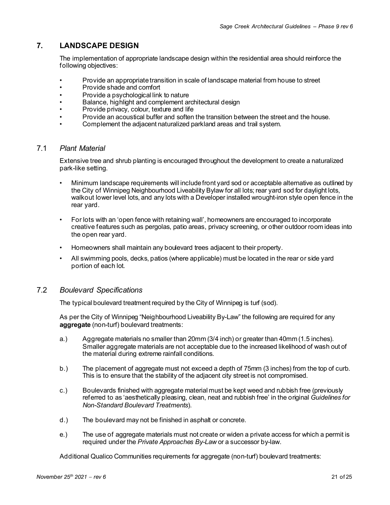# **7. LANDSCAPE DESIGN**

The implementation of appropriate landscape design within the residential area should reinforce the following objectives:

- Provide an appropriate transition in scale of landscape material from house to street<br>• Provide shade and comfort
- Provide shade and comfort
- Provide a psychological link to nature
- Balance, highlight and complement architectural design
- Provide privacy, colour, texture and life
- Provide an acoustical buffer and soften the transition between the street and the house.
- Complement the adjacent naturalized parkland areas and trail system.

# 7.1 *Plant Material*

Extensive tree and shrub planting is encouraged throughout the development to create a naturalized park-like setting.

- Minimum landscape requirements will include front yard sod or acceptable alternative as outlined by the City of Winnipeg Neighbourhood Liveability Bylaw for all lots; rear yard sod for daylight lots, walkout lower level lots, and any lots with a Developer installed wrought-iron style open fence in the rear yard.
- For lots with an 'open fence with retaining wall', homeowners are encouraged to incorporate creative features such as pergolas, patio areas, privacy screening, or other outdoor room ideas into the open rear yard.
- Homeowners shall maintain any boulevard trees adjacent to their property.
- All swimming pools, decks, patios (where applicable) must be located in the rear or side yard portion of each lot.

### 7.2 *Boulevard Specifications*

The typical boulevard treatment required by the City of Winnipeg is turf (sod).

As per the City of Winnipeg "Neighbourhood Liveability By-Law" the following are required for any **aggregate** (non-turf) boulevard treatments:

- a.) Aggregate materials no smaller than 20mm (3/4 inch) or greater than 40mm (1.5 inches). Smaller aggregate materials are not acceptable due to the increased likelihood of wash out of the material during extreme rainfall conditions.
- b.) The placement of aggregate must not exceed a depth of 75mm (3 inches) from the top of curb. This is to ensure that the stability of the adjacent city street is not compromised.
- c.) Boulevards finished with aggregate material must be kept weed and rubbish free (previously referred to as 'aesthetically pleasing, clean, neat and rubbish free' in the original *Guidelines for Non-Standard Boulevard Treatments*).
- d.) The boulevard may not be finished in asphalt or concrete.
- e.) The use of aggregate materials must not create or widen a private access for which a permit is required under the *Private Approaches By-Law* or a successor by-law.

Additional Qualico Communities requirements for aggregate (non-turf) boulevard treatments: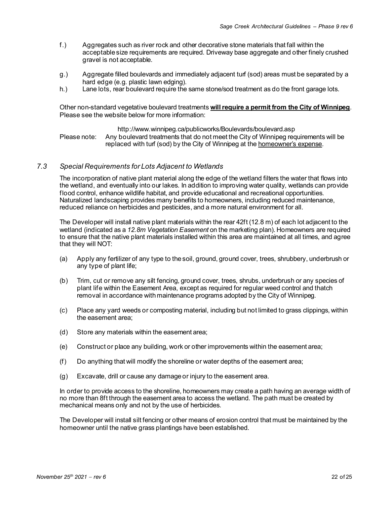- f.) Aggregates such as river rock and other decorative stone materials that fall within the acceptable size requirements are required. Driveway base aggregate and other finely crushed gravel is not acceptable.
- g.) Aggregate filled boulevards and immediately adjacent turf (sod) areas must be separated by a hard edge (e.g. plastic lawn edging).
- h.) Lane lots, rear boulevard require the same stone/sod treatment as do the front garage lots.

Other non-standard vegetative boulevard treatments **will require a permit from the City of Winnipeg**. Please see the website below for more information:

http://www.winnipeg.ca/publicworks/Boulevards/boulevard.asp Please note: Any boulevard treatments that do not meet the City of Winnipeg requirements will be replaced with turf (sod) by the City of Winnipeg at the homeowner's expense.

### *7.3 Special Requirements for Lots Adjacent to Wetlands*

The incorporation of native plant material along the edge of the wetland filters the water that flows into the wetland, and eventually into our lakes. In addition to improving water quality, wetlands can provide flood control, enhance wildlife habitat, and provide educational and recreational opportunities. Naturalized landscaping provides many benefits to homeowners, including reduced maintenance, reduced reliance on herbicides and pesticides, and a more natural environment for all.

The Developer will install native plant materials within the rear 42ft (12.8 m) of each lot adjacent to the wetland (indicated as a *12.8m Vegetation Easement* on the marketing plan). Homeowners are required to ensure that the native plant materials installed within this area are maintained at all times, and agree that they will NOT:

- (a) Apply any fertilizer of any type to the soil, ground, ground cover, trees, shrubbery, underbrush or any type of plant life;
- (b) Trim, cut or remove any silt fencing, ground cover, trees, shrubs, underbrush or any species of plant life within the Easement Area, except as required for regular weed control and thatch removal in accordance with maintenance programs adopted by the City of Winnipeg.
- (c) Place any yard weeds or composting material, including but not limited to grass clippings, within the easement area;
- (d) Store any materials within the easement area;
- (e) Construct or place any building, work or other improvements within the easement area;
- (f) Do anything that will modify the shoreline or water depths of the easement area;
- (g) Excavate, drill or cause any damage or injury to the easement area.

In order to provide access to the shoreline, homeowners may create a path having an average width of no more than 8ft through the easement area to access the wetland. The path must be created by mechanical means only and not by the use of herbicides.

The Developer will install silt fencing or other means of erosion control that must be maintained by the homeowner until the native grass plantings have been established.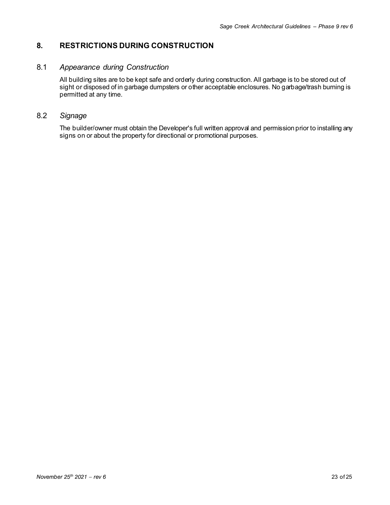# **8. RESTRICTIONS DURING CONSTRUCTION**

# 8.1 *Appearance during Construction*

All building sites are to be kept safe and orderly during construction. All garbage is to be stored out of sight or disposed of in garbage dumpsters or other acceptable enclosures. No garbage/trash burning is permitted at any time.

# 8.2 *Signage*

The builder/owner must obtain the Developer's full written approval and permission prior to installing any signs on or about the property for directional or promotional purposes.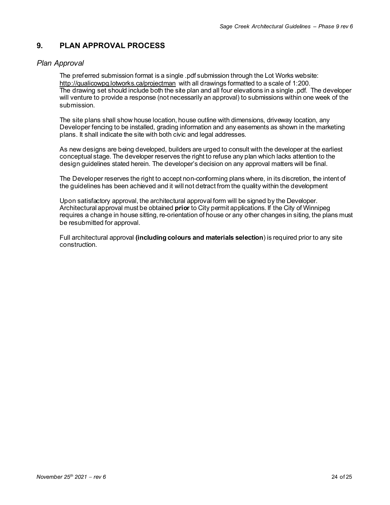# **9. PLAN APPROVAL PROCESS**

# *Plan Approval*

The preferred submission format is a single .pdf submission through the Lot Works website: <http://qualicowpg.lotworks.ca/projectman> with all drawings formatted to a scale of 1:200. The drawing set should include both the site plan and all four elevations in a single .pdf. The developer will venture to provide a response (not necessarily an approval) to submissions within one week of the submission.

The site plans shall show house location, house outline with dimensions, driveway location, any Developer fencing to be installed, grading information and any easements as shown in the marketing plans. It shall indicate the site with both civic and legal addresses.

As new designs are being developed, builders are urged to consult with the developer at the earliest conceptual stage. The developer reserves the right to refuse any plan which lacks attention to the design guidelines stated herein. The developer's decision on any approval matters will be final.

The Developer reserves the right to accept non-conforming plans where, in its discretion, the intent of the guidelines has been achieved and it will not detract from the quality within the development

Upon satisfactory approval, the architectural approval form will be signed by the Developer. Architectural approval must be obtained **prior** to City permit applications. If the City of Winnipeg requires a change in house sitting, re-orientation of house or any other changes in siting, the plans must be resubmitted for approval.

Full architectural approval **(including colours and materials selection**) is required prior to any site construction.